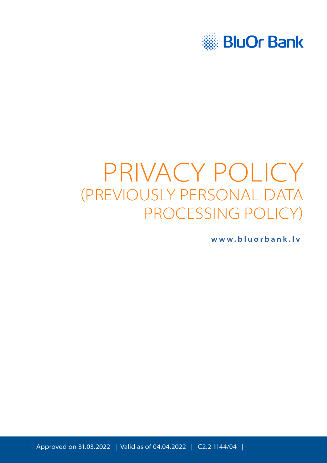

# PRIVACY POLICY (PREVIOUSLY PERSONAL DATA PROCESSING POLICY)

**[www.bluorbank.lv](https://www.bluorbank.lv/en/index)**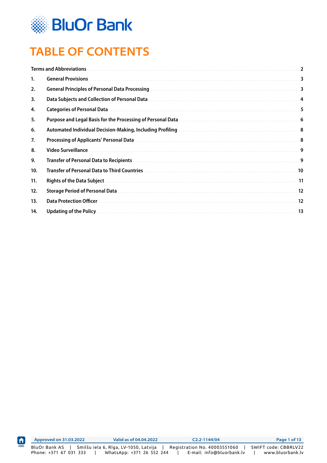

ft

# **TABLE OF CONTENTS**

|     | <b>Terms and Abbreviations.</b> | $\overline{2}$          |
|-----|---------------------------------|-------------------------|
| 1.  | <b>General Provisions.</b>      | $\overline{\mathbf{3}}$ |
| 2.  |                                 | $\overline{\mathbf{3}}$ |
| 3.  |                                 |                         |
| 4.  |                                 | 5                       |
| 5.  |                                 |                         |
| 6.  |                                 |                         |
| 7.  |                                 |                         |
| 8.  | Video Surveillance              | 9                       |
| 9.  |                                 |                         |
| 10. |                                 | 10                      |
| 11. |                                 | .11                     |
| 12. |                                 | 12                      |
| 13. | <b>Data Protection Officer</b>  | .12                     |
| 14. |                                 |                         |
|     |                                 |                         |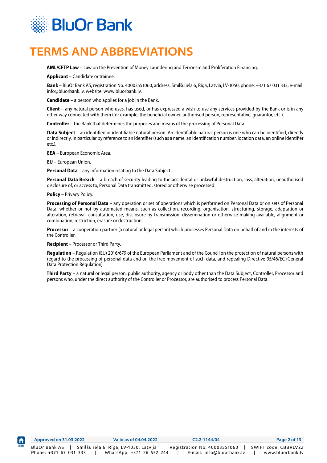<span id="page-2-0"></span>

#### **TERMS AND ABBREVIATIONS**

**AML/CFTP Law** – Law on the Prevention of Money Laundering and Terrorism and Proliferation Financing.

**Applicant** – Candidate or trainee.

**Bank** – BluOr Bank AS, registration No. 40003551060, address: Smilšu iela 6, Riga, Latvia, LV-1050, phone: +371 67 031 333, e-mail: info@bluorbank.lv, website: www.bluorbank.lv.

**Candidate** – a person who applies for a job in the Bank.

**Client** – any natural person who uses, has used, or has expressed a wish to use any services provided by the Bank or is in any other way connected with them (for example, the beneficial owner, authorised person, representative, guarantor, etc.).

**Controller** – the Bank that determines the purposes and means of the processing of Personal Data.

**Data Subject** – an identified or identifiable natural person. An identifiable natural person is one who can be identified, directly or indirectly, in particular by reference to an identifier (such as a name, an identification number, location data, an online identifier etc.).

**EEA** – European Economic Area.

**EU** – European Union.

**Personal Data** – any information relating to the Data Subject.

**Personal Data Breach** – a breach of security leading to the accidental or unlawful destruction, loss, alteration, unauthorised disclosure of, or access to, Personal Data transmitted, stored or otherwise processed.

**Policy** – Privacy Policy.

**Processing of Personal Data** – any operation or set of operations which is performed on Personal Data or on sets of Personal Data, whether or not by automated means, such as collection, recording, organisation, structuring, storage, adaptation or alteration, retrieval, consultation, use, disclosure by transmission, dissemination or otherwise making available, alignment or combination, restriction, erasure or destruction.

**Processor** – a cooperation partner (a natural or legal person) which processes Personal Data on behalf of and in the interests of the Controller.

**Recipient** – Processor or Third Party.

**Regulation** – Regulation (EU) 2016/679 of the European Parliament and of the Council on the protection of natural persons with regard to the processing of personal data and on the free movement of such data, and repealing Directive 95/46/EC (General Data Protection Regulation).

**Third Party** – a natural or legal person, public authority, agency or body other than the Data Subject, Controller, Processor and persons who, under the direct authority of the Controller or Processor, are authorised to process Personal Data.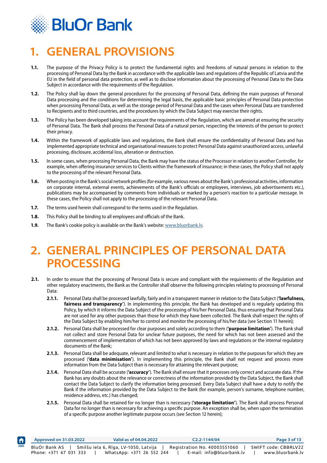<span id="page-3-0"></span>

# **1. GENERAL PROVISIONS**

- **1.1.** The purpose of the Privacy Policy is to protect the fundamental rights and freedoms of natural persons in relation to the processing of Personal Data by the Bank in accordance with the applicable laws and regulations of the Republic of Latvia and the EU in the field of personal data protection, as well as to disclose information about the processing of Personal Data to the Data Subject in accordance with the requirements of the Regulation.
- **1.2.** The Policy shall lay down the general procedures for the processing of Personal Data, defining the main purposes of Personal Data processing and the conditions for determining the legal basis, the applicable basic principles of Personal Data protection when processing Personal Data, as well as the storage period of Personal Data and the cases when Personal Data are transferred to Recipients and to third countries, and the procedures by which the Data Subject may exercise their rights.
- **1.3.** The Policy has been developed taking into account the requirements of the Regulation, which are aimed at ensuring the security of Personal Data. The Bank shall process the Personal Data of a natural person, respecting the interests of the person to protect their privacy.
- **1.4.** Within the framework of applicable laws and regulations, the Bank shall ensure the confidentiality of Personal Data and has implemented appropriate technical and organisational measures to protect Personal Data against unauthorized access, unlawful processing, disclosure, accidental loss, alteration or destruction.
- **1.5.** In some cases, when processing Personal Data, the Bank may have the status of the Processor in relation to another Controller, for example, when offering insurance services to Clients within the framework of insurance; in these cases, the Policy shall not apply to the processing of the relevant Personal Data.
- **1.6.** When posting in the Bank's social network profiles (for example, various news about the Bank's professional activities, information on corporate internal, external events, achievements of the Bank's officials or employees, interviews, job advertisements etc.), publications may be accompanied by comments from individuals or marked by a person's reaction to a particular message. In these cases, the Policy shall not apply to the processing of the relevant Personal Data.
- **1.7.** The terms used herein shall correspond to the terms used in the Regulation.
- **1.8.** This Policy shall be binding to all employees and officials of the Bank.

 $\bigwedge$ 

**1.9.** The Bank's cookie policy is available on the Bank's website: www.bluorbank.ly.

#### **2. GENERAL PRINCIPLES OF PERSONAL DATA PROCESSING**

- **2.1.** In order to ensure that the processing of Personal Data is secure and compliant with the requirements of the Regulation and other regulatory enactments, the Bank as the Controller shall observe the following principles relating to processing of Personal Data:
	- **2.1.1.** Personal Data shall be processed lawfully, fairly and in a transparent manner in relation to the Data Subject (**'lawfulness, fairness and transparency'**). In implementing this principle, the Bank has developed and is regularly updating this Policy, by which it informs the Data Subject of the processing of his/her Personal Data, thus ensuring that Personal Data are not used for any other purposes than those for which they have been collected. The Bank shall respect the rights of the Data Subject by enabling him/her to control and monitor the processing of his/her data (see Section 11 herein);
	- **2.1.2.** Personal Data shall be processed for clear purposes and solely according to them (**'purpose limitation'**). The Bank shall not collect and store Personal Data for unclear future purposes, the need for which has not been assessed and the commencement of implementation of which has not been approved by laws and regulations or the internal regulatory documents of the Bank;
	- **2.1.3.** Personal Data shall be adequate, relevant and limited to what is necessary in relation to the purposes for which they are processed (**'data minimisation'**). In implementing this principle, the Bank shall not request and process more information from the Data Subject than is necessary for attaining the relevant purpose;
	- **2.1.4.** Personal Data shall be accurate (**'accuracy'**). The Bank shall ensure that it processes only correct and accurate data. If the Bank has any doubts about the relevance or correctness of the information provided by the Data Subject, the Bank shall contact the Data Subject to clarify the information being processed. Every Data Subject shall have a duty to notify the Bank if the information provided by the Data Subject to the Bank (for example, person's surname, telephone number, residence address, etc.) has changed;
	- **2.1.5.** Personal Data shall be retained for no longer than is necessary (**'storage limitation'**). The Bank shall process Personal Data for no longer than is necessary for achieving a specific purpose. An exception shall be, when upon the termination of a specific purpose another legitimate purpose occurs (see Section 12 herein);

|             | Approved on 31.03.2022                  | Valid as of 04.04.2022                                             |  | $C2.2 - 1144/04$                                          | Page 3 of 13                             |
|-------------|-----------------------------------------|--------------------------------------------------------------------|--|-----------------------------------------------------------|------------------------------------------|
| <b>HOME</b> | BluOr Bank AS<br>Phone: +371 67 031 333 | Smilšu iela 6, Rīga, LV-1050, Latvija<br>WhatsApp: +371 26 552 244 |  | Registration No. 40003551060<br>E-mail: info@bluorbank.lv | SWIFT code: CBBRLV22<br>www.bluorbank.lv |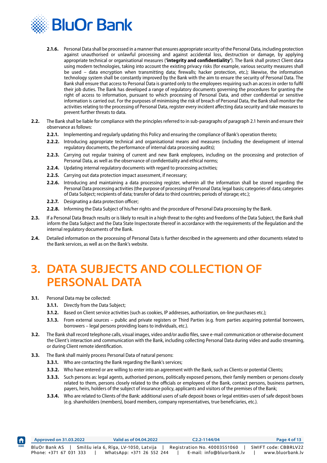<span id="page-4-0"></span>

- **2.1.6.** Personal Data shall be processed in a manner that ensures appropriate security of the Personal Data, including protection against unauthorised or unlawful processing and against accidental loss, destruction or damage, by applying appropriate technical or organisational measures (**'integrity and confidentiality'**). The Bank shall protect Client data using modern technologies, taking into account the existing privacy risks (for example, various security measures shall be used – data encryption when transmitting data; firewalls; hacker protection, etc.); likewise, the information technology system shall be constantly improved by the Bank with the aim to ensure the security of Personal Data. The Bank shall ensure that access to Personal Data is granted only to the employees requiring such an access in order to fulfil their job duties. The Bank has developed a range of regulatory documents governing the procedures for granting the right of access to information, pursuant to which processing of Personal Data, and other confidential or sensitive information is carried out. For the purposes of minimising the risk of breach of Personal Data, the Bank shall monitor the activities relating to the processing of Personal Data, register every incident affecting data security and take measures to prevent further threats to data.
- **2.2.** The Bank shall be liable for compliance with the principles referred to in sub-paragraphs of paragraph 2.1 herein and ensure their observance as follows:
	- **2.2.1.** Implementing and regularly updating this Policy and ensuring the compliance of Bank's operation thereto;
	- **2.2.2.** Introducing appropriate technical and organisational means and measures (including the development of internal regulatory documents, the performance of internal data processing audits);
	- **2.2.3.** Carrying out regular training of current and new Bank employees, including on the processing and protection of Personal Data, as well as the observance of confidentiality and ethical norms;
	- **2.2.4.** Updating internal regulatory documents with regard to processing activities;
	- **2.2.5.** Carrying out data protection impact assessment, if necessary;
	- **2.2.6.** Introducing and maintaining a data processing register, wherein all the information shall be stored regarding the Personal Data processing activities (the purpose of processing of Personal Data; legal basis; categories of data; categories of Data Subject; recipients of data; transfer of data to third countries; periods of storage; etc.);
	- **2.2.7.** Designating a data protection officer;
	- **2.2.8.** Informing the Data Subject of his/her rights and the procedure of Personal Data processing by the Bank.
- **2.3.** If a Personal Data Breach results or is likely to result in a high threat to the rights and freedoms of the Data Subject, the Bank shall inform the Data Subject and the Data State Inspectorate thereof in accordance with the requirements of the Regulation and the internal regulatory documents of the Bank.
- **2.4.** Detailed information on the processing of Personal Data is further described in the agreements and other documents related to the Bank services, as well as on the Bank's website.

#### **3. DATA SUBJECTS AND COLLECTION OF PERSONAL DATA**

- **3.1.** Personal Data may be collected:
	- **3.1.1.** Directly from the Data Subject;
	- **3.1.2.** Based on Client service activities (such as cookies, IP addresses, authorization, on-line purchases etc.);
	- **3.1.3.** From external sources public and private registers or Third Parties (e.g. from parties acquiring potential borrowers, borrowers – legal persons providing loans to individuals, etc.).
- **3.2.** The Bank shall record telephone calls, visual images, video and/or audio files, save e-mail communication or otherwise document the Client's interaction and communication with the Bank, including collecting Personal Data during video and audio streaming, or during Client remote identification.
- **3.3.** The Bank shall mainly process Personal Data of natural persons:
	- **3.3.1.** Who are contacting the Bank regarding the Bank's services;
	- **3.3.2.** Who have entered or are willing to enter into an agreement with the Bank, such as Clients or potential Clients;
	- **3.3.3.** Such persons as: legal agents, authorised persons, politically exposed persons, their family members or persons closely related to them, persons closely related to the officials or employees of the Bank, contact persons, business partners, payers, heirs, holders of the subject of insurance policy, applicants and visitors of the premises of the Bank;
	- **3.3.4.** Who are related to Clients of the Bank: additional users of safe deposit boxes or legal entities-users of safe deposit boxes (e.g. shareholders (members), board members, company representatives, true beneficiaries, etc.).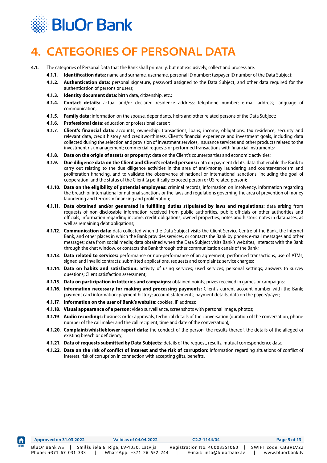<span id="page-5-0"></span>

# **4. CATEGORIES OF PERSONAL DATA**

- **4.1.** The categories of Personal Data that the Bank shall primarily, but not exclusively, collect and process are:
	- **4.1.1. Identification data:** name and surname, username, personal ID number; taxpayer ID number of the Data Subject;
	- **4.1.2. Authentication data:** personal signature, password assigned to the Data Subject, and other data required for the authentication of persons or users;
	- **4.1.3. Identity document data:** birth data, citizenship, etc.;
	- **4.1.4. Contact details:** actual and/or declared residence address; telephone number; e-mail address; language of communication;
	- **4.1.5. Family data:** information on the spouse, dependants, heirs and other related persons of the Data Subject;
	- **4.1.6. Professional data:** education or professional career;
	- **4.1.7. Client's financial data:** accounts; ownership; transactions; loans; income; obligations; tax residence, security and relevant data, credit history and creditworthiness, Client's financial experience and investment goals, including data collected during the selection and provision of investment services, insurance services and other products related to the investment risk management; commercial requests or performed transactions with financial instruments;
	- **4.1.8. Data on the origin of assets or property:** data on the Client's counterparties and economic activities;
	- **4.1.9. Due diligence data on the Client and Client's related persons:** data on payment debts; data that enable the Bank to carry out relating to the due diligence activities in the area of anti-money laundering and counter-terrorism and proliferation financing, and to validate the observance of national or international sanctions, including the goal of cooperation, and the status of the Client (a politically exposed person or US related person);
	- **4.1.10**. **Data on the eligibility of potential employees:** criminal records, information on insolvency, information regarding the breach of international or national sanctions or the laws and regulations governing the area of prevention of money laundering and terrorism financing and proliferation;
	- **4.1.11**. **Data obtained and/or generated in fulfilling duties stipulated by laws and regulations:** data arising from requests of non-disclosable information received from public authorities, public officials or other authorities and officials; information regarding income, credit obligations, owned properties, notes and historic notes in databases, as well as remaining debt obligations;
	- **4.1.12**. **Communication data:** data collected when the Data Subject visits the Client Service Centre of the Bank, the Internet Bank, and other places in which the Bank provides services, or contacts the Bank by phone; e-mail messages and other messages; data from social media; data obtained when the Data Subject visits Bank's websites, interacts with the Bank through the chat window, or contacts the Bank through other communication canals of the Bank;
	- **4.1.13**. **Data related to services:** performance or non-performance of an agreement; performed transactions; use of ATMs; signed and invalid contracts; submitted applications, requests and complaints; service charges;
	- **4.1.14**. **Data on habits and satisfaction:** activity of using services; used services; personal settings; answers to survey questions; Client satisfaction assessment;
	- **4.1.15**. **Data on participation in lotteries and campaigns:** obtained points; prizes received in games or campaigns;
	- **4.1.16**. **Information necessary for making and processing payments:** Client's current account number with the Bank; payment card information; payment history; account statements; payment details, data on the payee/payer;
	- **4.1.17**. **Information on the user of Bank's website:** cookies, IP address;
	- **4.1.18**. **Visual appearance of a person:** video surveillance, screenshots with personal image, photos;
	- **4.1.19**. **Audio recordings:** business order approvals, technical details of the conversation (duration of the conversation, phone number of the call maker and the call recipient, time and date of the conversation);
	- **4.1.20**. **Complaint/whistleblower report data:** the conduct of the person, the results thereof, the details of the alleged or existing breach or deficiency;
	- **4.1.21**. **Data of requests submitted by Data Subjects:** details of the request, results, mutual correspondence data;
	- **4.1.22**. **Data on the risk of conflict of interest and the risk of corruption:** information regarding situations of conflict of interest, risk of corruption in connection with accepting gifts, benefits.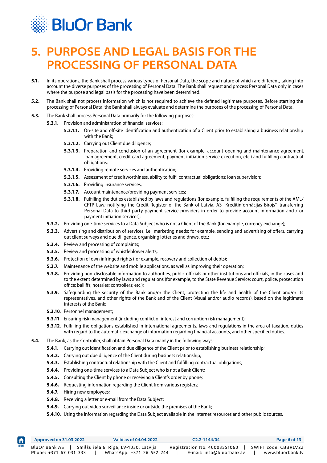<span id="page-6-0"></span>

#### **5. PURPOSE AND LEGAL BASIS FOR THE PROCESSING OF PERSONAL DATA**

- **5.1.** In its operations, the Bank shall process various types of Personal Data, the scope and nature of which are different, taking into account the diverse purposes of the processing of Personal Data. The Bank shall request and process Personal Data only in cases where the purpose and legal basis for the processing have been determined.
- **5.2.** The Bank shall not process information which is not required to achieve the defined legitimate purposes. Before starting the processing of Personal Data, the Bank shall always evaluate and determine the purposes of the processing of Personal Data.
- **5.3.** The Bank shall process Personal Data primarily for the following purposes:
	- **5.3.1.** Provision and administration of financial services:
		- **5.3.1.1.** On-site and off-site identification and authentication of a Client prior to establishing a business relationship with the Bank;
		- **5.3.1.2.** Carrying out Client due diligence;
		- **5.3.1.3.** Preparation and conclusion of an agreement (for example, account opening and maintenance agreement, loan agreement, credit card agreement, payment initiation service execution, etc.) and fulfilling contractual obligations;
		- **5.3.1.4.** Providing remote services and authentication;
		- **5.3.1.5.** Assessment of creditworthiness, ability to fulfil contractual obligations; loan supervision;
		- **5.3.1.6.** Providing insurance services;
		- **5.3.1.7.** Account maintenance/providing payment services;
		- **5.3.1.8.** Fulfilling the duties established by laws and regulations (for example, fulfilling the requirements of the AML/ CFTP Law; notifying the Credit Register of the Bank of Latvia, AS "Kredītinformācijas Birojs", transferring Personal Data to third party payment service providers in order to provide account information and / or payment initiation services);
		- **5.3.2.** Providing one-time services to a Data Subject who is not a Client of the Bank (for example, currency exchange);
		- **5.3.3.** Advertising and distribution of services, i.e., marketing needs; for example, sending and advertising of offers, carrying out client surveys and due diligence, organising lotteries and draws, etc.;
		- **5.3.4.** Review and processing of complaints;
		- **5.3.5.** Review and processing of whistleblower alerts;
		- **5.3.6.** Protection of own infringed rights (for example, recovery and collection of debts);
		- **5.3.7.** Maintenance of the website and mobile applications, as well as improving their operation;
		- **5.3.8.** Providing non-disclosable information to authorities, public officials or other institutions and officials, in the cases and to the extent determined by laws and regulations (for example, to the State Revenue Service; court, police, prosecution office; bailiffs; notaries; controllers; etc.);
		- **5.3.9.** Safeguarding the security of the Bank and/or the Client; protecting the life and health of the Client and/or its representatives, and other rights of the Bank and of the Client (visual and/or audio records), based on the legitimate interests of the Bank;
		- **5.3.10**. Personnel management;
		- **5.3.11**. Ensuring risk management (including conflict of interest and corruption risk management);
		- **5.3.12**. Fulfilling the obligations established in international agreements, laws and regulations in the area of taxation, duties with regard to the automatic exchange of information regarding financial accounts, and other specified duties.
- **5.4.** The Bank, as the Controller, shall obtain Personal Data mainly in the following ways:
	- **5.4.1.** Carrying out identification and due diligence of the Client prior to establishing business relationship;
	- **5.4.2.** Carrying out due diligence of the Client during business relationship;
	- **5.4.3.** Establishing contractual relationship with the Client and fulfilling contractual obligations;
	- **5.4.4.** Providing one-time services to a Data Subject who is not a Bank Client;
	- **5.4.5.** Consulting the Client by phone or receiving a Client's order by phone;
	- **5.4.6.** Requesting information regarding the Client from various registers;
	- **5.4.7.** Hiring new employees;
	- **5.4.8.** Receiving a letter or e-mail from the Data Subject;
	- **5.4.9.** Carrying out video surveillance inside or outside the premises of the Bank;
	- **5.4.10**. Using the information regarding the Data Subject available in the Internet resources and other public sources.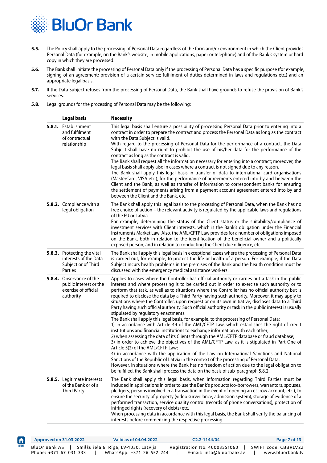

ft

- **5.5.** The Policy shall apply to the processing of Personal Data regardless of the form and/or environment in which the Client provides Personal Data (for example, on the Bank's website, in mobile applications, paper or telephone) and of the Bank's system or hard copy in which they are processed.
- **5.6.** The Bank shall initiate the processing of Personal Data only if the processing of Personal Data has a specific purpose (for example, signing of an agreement; provision of a certain service; fulfilment of duties determined in laws and regulations etc.) and an appropriate legal basis.
- **5.7.** If the Data Subject refuses from the processing of Personal Data, the Bank shall have grounds to refuse the provision of Bank's services.
- **5.8.** Legal grounds for the processing of Personal Data may be the following:

| <b>Legal basis</b>                                                                      | <b>Necessity</b>                                                                                                                                                                                                                                                                                                                                                                                                                                                                                                                                                                                                                                                                                                                                                                                                                                                                                                                                                                                                                                                                                                                                                                                                                                                                                                                                                                                                                                                                                                                                                |
|-----------------------------------------------------------------------------------------|-----------------------------------------------------------------------------------------------------------------------------------------------------------------------------------------------------------------------------------------------------------------------------------------------------------------------------------------------------------------------------------------------------------------------------------------------------------------------------------------------------------------------------------------------------------------------------------------------------------------------------------------------------------------------------------------------------------------------------------------------------------------------------------------------------------------------------------------------------------------------------------------------------------------------------------------------------------------------------------------------------------------------------------------------------------------------------------------------------------------------------------------------------------------------------------------------------------------------------------------------------------------------------------------------------------------------------------------------------------------------------------------------------------------------------------------------------------------------------------------------------------------------------------------------------------------|
| 5.8.1. Establishment<br>and fulfilment<br>of contractual<br>relationship                | This legal basis shall ensure a possibility of processing Personal Data prior to entering into a<br>contract in order to prepare the contract and process the Personal Data as long as the contract<br>with the Data Subject is valid.<br>With regard to the processing of Personal Data for the performance of a contract, the Data<br>Subject shall have no right to prohibit the use of his/her data for the performance of the<br>contract as long as the contract is valid.<br>The Bank shall request all the information necessary for entering into a contract; moreover, the<br>legal basis shall apply also in cases where a contract is not signed due to any reason.<br>The Bank shall apply this legal basis in transfer of data to international card organisations<br>(MasterCard, VISA etc.), for the performance of agreements entered into by and between the<br>Client and the Bank, as well as transfer of information to correspondent banks for ensuring<br>the settlement of payments arising from a payment account agreement entered into by and<br>between the Client and the Bank, etc.                                                                                                                                                                                                                                                                                                                                                                                                                                               |
| 5.8.2. Compliance with a<br>legal obligation                                            | The Bank shall apply this legal basis to the processing of Personal Data, when the Bank has no<br>free choice of action - the relevant activity is regulated by the applicable laws and regulations<br>of the EU or Latvia.<br>For example, determining the status of the Client status or the suitability/compliance of<br>investment services with Client interests, which is the Bank's obligation under the Financial<br>Instruments Market Law. Also, the AML/CFTP Law provides for a number of obligations imposed<br>on the Bank, both in relation to the identification of the beneficial owner and a politically<br>exposed person, and in relation to conducting the Client due diligence, etc.                                                                                                                                                                                                                                                                                                                                                                                                                                                                                                                                                                                                                                                                                                                                                                                                                                                       |
| 5.8.3. Protecting the vital<br>interests of the Data<br>Subject or of Third<br>Parties  | The Bank shall apply this legal basis in exceptional cases where the processing of Personal Data<br>is carried out, for example, to protect the life or health of a person. For example, if the Data<br>Subject incurs health problems in the premises of the Bank and the health condition must be<br>discussed with the emergency medical assistance workers.                                                                                                                                                                                                                                                                                                                                                                                                                                                                                                                                                                                                                                                                                                                                                                                                                                                                                                                                                                                                                                                                                                                                                                                                 |
| 5.8.4. Observance of the<br>public interest or the<br>exercise of official<br>authority | Applies to cases where the Controller has official authority or carries out a task in the public<br>interest and where processing is to be carried out in order to exercise such authority or to<br>perform that task, as well as to situations where the Controller has no official authority but is<br>required to disclose the data by a Third Party having such authority. Moreover, it may apply to<br>situations where the Controller, upon request or on its own initiative, discloses data to a Third<br>Party having such official authority. Such official authority or task in the public interest is usually<br>stipulated by regulatory enactments.<br>The Bank shall apply this legal basis, for example, to the processing of Personal Data:<br>1) in accordance with Article 44 of the AML/CFTP Law, which establishes the right of credit<br>institutions and financial institutions to exchange information with each other;<br>2) when assessing the data of its Clients through the AML/CFTP database or fraud database;<br>3) in order to achieve the objectives of the AML/CFTP Law, as it is stipulated in Part One of<br>Article 5(2) of the AML/CFTP Law;<br>4) in accordance with the application of the Law on International Sanctions and National<br>Sanctions of the Republic of Latvia in the context of the processing of Personal Data.<br>However, in situations where the Bank has no freedom of action due to the legal obligation to<br>be fulfilled, the Bank shall process the data on the basis of sub-paragraph 5.8.2. |
| 5.8.5. Legitimate interests<br>of the Bank or of a<br><b>Third Party</b>                | The Bank shall apply this legal basis, when information regarding Third Parties must be<br>included in applications in order to use the Bank's products (co-borrowers, warrantors, spouses,<br>pledgers, persons involved in a transaction in the event of opening an escrow account, etc.), to<br>ensure the security of property (video surveillance, admission system), storage of evidence of a<br>performed transaction, service quality control (records of phone conversations), protection of<br>infringed rights (recovery of debts) etc.<br>When processing data in accordance with this legal basis, the Bank shall verify the balancing of<br>interests before commencing the respective processing.                                                                                                                                                                                                                                                                                                                                                                                                                                                                                                                                                                                                                                                                                                                                                                                                                                                |

|             | Approved on 31.03.2022                  | Valid as of 04.04.2022                                             | $C2.2 - 1144/04$                                          | Page 7 of 13                             |
|-------------|-----------------------------------------|--------------------------------------------------------------------|-----------------------------------------------------------|------------------------------------------|
| <b>HOME</b> | BluOr Bank AS<br>Phone: +371 67 031 333 | Smilšu iela 6, Rīga, LV-1050, Latvija<br>WhatsApp: +371 26 552 244 | Registration No. 40003551060<br>E-mail: info@bluorbank.lv | SWIFT code: CBBRLV22<br>www.bluorbank.lv |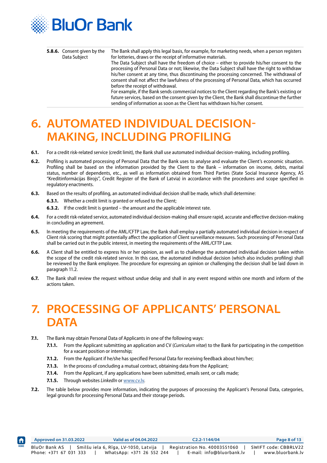<span id="page-8-0"></span>

| 5.8.6. Consent given by the | The Bank shall apply this legal basis, for example, for marketing needs, when a person registers                                                                                                  |
|-----------------------------|---------------------------------------------------------------------------------------------------------------------------------------------------------------------------------------------------|
| Data Subject                | for lotteries, draws or the receipt of informative materials.                                                                                                                                     |
|                             | The Data Subject shall have the freedom of choice $-$ either to provide his/her consent to the<br>processing of Personal Data or not; likewise, the Data Subject shall have the right to withdraw |
|                             | his/her consent at any time, thus discontinuing the processing concerned. The withdrawal of                                                                                                       |
|                             | consent shall not affect the lawfulness of the processing of Personal Data, which has occurred                                                                                                    |
|                             | before the receipt of withdrawal.                                                                                                                                                                 |
|                             | For example, if the Bank sends commercial notices to the Client regarding the Bank's existing or                                                                                                  |
|                             | future services, based on the consent given by the Client, the Bank shall discontinue the further                                                                                                 |
|                             | sending of information as soon as the Client has withdrawn his/her consent.                                                                                                                       |

#### **6. AUTOMATED INDIVIDUAL DECISION-MAKING, INCLUDING PROFILING**

- **6.1.** For a credit risk-related service (credit limit), the Bank shall use automated individual decision-making, including profiling.
- **6.2.** Profiling is automated processing of Personal Data that the Bank uses to analyse and evaluate the Client's economic situation. Profiling shall be based on the information provided by the Client to the Bank – information on income, debts, marital status, number of dependents, etc., as well as information obtained from Third Parties (State Social Insurance Agency, AS "Kredītinformācijas Birojs", Credit Register of the Bank of Latvia) in accordance with the procedures and scope specified in regulatory enactments.
- **6.3.** Based on the results of profiling, an automated individual decision shall be made, which shall determine:
	- **6.3.1.** Whether a credit limit is granted or refused to the Client;
	- **6.3.2.** If the credit limit is granted the amount and the applicable interest rate.
- **6.4.** For a credit risk-related service, automated individual decision-making shall ensure rapid, accurate and effective decision-making in concluding an agreement.
- **6.5.** In meeting the requirements of the AML/CFTP Law, the Bank shall employ a partially automated individual decision in respect of Client risk scoring that might potentially affect the application of Client surveillance measures. Such processing of Personal Data shall be carried out in the public interest, in meeting the requirements of the AML/CFTP Law.
- **6.6.** A Client shall be entitled to express his or her opinion, as well as to challenge the automated individual decision taken within the scope of the credit risk-related service. In this case, the automated individual decision (which also includes profiling) shall be reviewed by the Bank employee. The procedure for expressing an opinion or challenging the decision shall be laid down in paragraph 11.2.
- **6.7.** The Bank shall review the request without undue delay and shall in any event respond within one month and inform of the actions taken.

#### **7. PROCESSING OF APPLICANTS' PERSONAL DATA**

- **7.1.** The Bank may obtain Personal Data of Applicants in one of the following ways:
	- **7.1.1.** From the Applicant submitting an application and CV (*Curriculum vitae*) to the Bank for participating in the competition for a vacant position or internship;
	- **7.1.2.** From the Applicant if he/she has specified Personal Data for receiving feedback about him/her;
	- **7.1.3.** In the process of concluding a mutual contract, obtaining data from the Applicant;
	- **7.1.4.** From the Applicant, if any applications have been submitted, emails sent, or calls made;
	- **7.1.5.** Through websites *LinkedIn* or <www.cv.lv>.
- **7.2.** The table below provides more information, indicating the purposes of processing the Applicant's Personal Data, categories, legal grounds for processing Personal Data and their storage periods.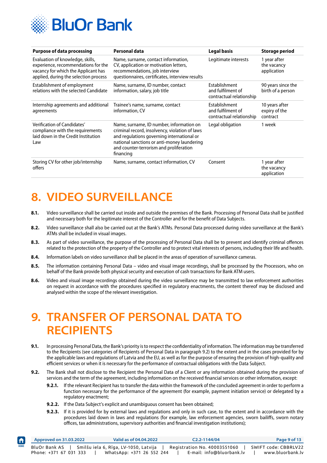<span id="page-9-0"></span>

| <b>Purpose of data processing</b>                                                                                                                       | <b>Personal data</b>                                                                                                                                                                                                                            | <b>Legal basis</b>                                             | <b>Storage period</b>                       |
|---------------------------------------------------------------------------------------------------------------------------------------------------------|-------------------------------------------------------------------------------------------------------------------------------------------------------------------------------------------------------------------------------------------------|----------------------------------------------------------------|---------------------------------------------|
| Evaluation of knowledge, skills,<br>experience, recommendations for the<br>vacancy for which the Applicant has<br>applied, during the selection process | Name, surname, contact information,<br>CV, application or motivation letters,<br>recommendations, job interview<br>questionnaires, certificates, interview results                                                                              | Legitimate interests                                           | 1 year after<br>the vacancy<br>application  |
| Establishment of employment<br>relations with the selected Candidate                                                                                    | Name, surname, ID number, contact<br>information, salary, job title                                                                                                                                                                             | Establishment<br>and fulfilment of<br>contractual relationship | 90 years since the<br>birth of a person     |
| Internship agreements and additional<br>agreements                                                                                                      | Trainee's name, surname, contact<br>information, CV                                                                                                                                                                                             | Establishment<br>and fulfilment of<br>contractual relationship | 10 years after<br>expiry of the<br>contract |
| Verification of Candidates'<br>compliance with the requirements<br>laid down in the Credit Institution<br>Law                                           | Name, surname, ID number, information on<br>criminal record, insolvency, violation of laws<br>and regulations governing international or<br>national sanctions or anti-money laundering<br>and counter-terrorism and proliferation<br>financing | Legal obligation                                               | 1 week                                      |
| Storing CV for other job/internship<br>offers                                                                                                           | Name, surname, contact information, CV                                                                                                                                                                                                          | Consent                                                        | 1 year after<br>the vacancy<br>application  |

# **8. VIDEO SURVEILLANCE**

- 8.1. Video surveillance shall be carried out inside and outside the premises of the Bank. Processing of Personal Data shall be justified and necessary both for the legitimate interest of the Controller and for the benefit of Data Subjects.
- **8.2.** Video surveillance shall also be carried out at the Bank's ATMs. Personal Data processed during video surveillance at the Bank's ATMs shall be included in visual images.
- **8.3.** As part of video surveillance, the purpose of the processing of Personal Data shall be to prevent and identify criminal offences related to the protection of the property of the Controller and to protect vital interests of persons, including their life and health.
- **8.4.** Information labels on video surveillance shall be placed in the areas of operation of surveillance cameras.
- **8.5.** The information containing Personal Data video and visual image recordings, shall be processed by the Processors, who on behalf of the Bank provide both physical security and execution of cash transactions for Bank ATM users.
- **8.6.** Video and visual image recordings obtained during the video surveillance may be transmitted to law enforcement authorities on request in accordance with the procedures specified in regulatory enactments, the content thereof may be disclosed and analysed within the scope of the relevant investigation.

#### **9. TRANSFER OF PERSONAL DATA TO RECIPIENTS**

- **9.1.** In processing Personal Data, the Bank's priority is to respect the confidentiality of information. The information may be transferred to the Recipients (see categories of Recipients of Personal Data in paragraph 9.2) to the extent and in the cases provided for by the applicable laws and regulations of Latvia and the EU, as well as for the purpose of ensuring the provision of high-quality and efficient services or when it is necessary for the performance of contractual obligations with the Data Subject.
- **9.2.** The Bank shall not disclose to the Recipient the Personal Data of a Client or any information obtained during the provision of services and the term of the agreement, including information on the received financial services or other information, except:
	- **9.2.1.** If the relevant Recipient has to transfer the data within the framework of the concluded agreement in order to perform a function necessary for the performance of the agreement (for example, payment initiation service) or delegated by a regulatory enactment;
	- **9.2.2.** If the Data Subject's explicit and unambiguous consent has been obtained;

 $\biguplus$ 

**9.2.3.** If it is provided for by external laws and regulations and only in such case, to the extent and in accordance with the procedures laid down in laws and regulations (for example, law enforcement agencies, sworn bailiffs, sworn notary offices, tax administrations, supervisory authorities and financial investigation institutions);

|             | Approved on 31.03.2022                  | Valid as of 04.04.2022                                             |  | $C2.2 - 1144/04$                                          | Page 9 of 13                             |
|-------------|-----------------------------------------|--------------------------------------------------------------------|--|-----------------------------------------------------------|------------------------------------------|
| <b>HOME</b> | BluOr Bank AS<br>Phone: +371 67 031 333 | Smilšu iela 6, Rīga, LV-1050, Latvija<br>WhatsApp: +371 26 552 244 |  | Registration No. 40003551060<br>E-mail: info@bluorbank.lv | SWIFT code: CBBRLV22<br>www.bluorbank.lv |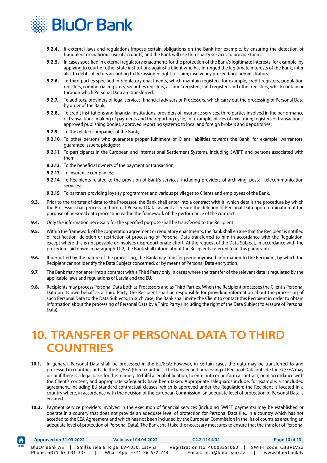<span id="page-10-0"></span>

- **9.2.4.** If external laws and regulations impose certain obligations on the Bank (for example, by ensuring the detection of fraudulent or malicious use of accounts) and the Bank will use third-party services to provide them;
- **9.2.5.** In cases specified in external regulatory enactments for the protection of the Bank's legitimate interests, for example, by applying to court or other state institutions against a Client who has infringed the legitimate interests of the Bank, inter alia, to debt collectors according to the assigned right to claim; insolvency proceedings administrators;
- **9.2.6.** To third parties specified in regulatory enactments, which maintain registers, for example, credit registers, population registers, commercial registers, securities registers, account registers, land registers and other registers, which contain or through which Personal Data are transferred;
- **9.2.7.** To auditors, providers of legal services, financial advisers or Processors, which carry out the processing of Personal Data by order of the Bank;
- **9.2.8.** To credit institutions and financial institutions, providers of insurance services, third parties involved in the performance of transactions, making of payments and the reporting cycle, for example, places of execution; registers of transactions, approved publishing bodies, approved reporting systems; to local and foreign brokers and depositories;
- **9.2.9.** To the related companies of the Bank;
- **9.2.10**. To other persons who guarantee proper fulfilment of Client liabilities towards the Bank, for example, warrantors, guarantee issuers, pledgers;
- **9.2.11**. To participants in the European and International Settlement Systems, including SWIFT, and persons associated with them;
- **9.2.12**. To the beneficial owners of the payment or transaction;
- **9.2.13**. To insurance companies;

 $\biguparrow$ 

- **9.2.14**. To Recipients related to the provision of Bank's services, including providers of archiving, postal, telecommunication services;
- **9.2.15**. To partners providing loyalty programmes and various privileges to Clients and employees of the Bank.
- **9.3.** Prior to the transfer of data to the Processor, the Bank shall enter into a contract with it, which details the procedure by which the Processor shall process and protect Personal Data, as well as ensure the deletion of Personal Data upon termination of the purpose of personal data processing within the framework of the performance of the contract.
- **9.4.** Only the information necessary for the specified purpose shall be transferred to the Recipient.
- **9.5.** Within the framework of the cooperation agreement or regulatory enactments, the Bank shall ensure that the Recipient is notified of rectification, deletion or restriction of processing of Personal Data transferred to him in accordance with the Regulation, except where this is not possible or involves disproportionate effort. At the request of the Data Subject, in accordance with the procedure laid down in paragraph 11.2, the Bank shall inform about the Recipients referred to in this paragraph.
- **9.6.** If permitted by the nature of the processing, the Bank may transfer pseudonymised information to the Recipient, by which the Recipient cannot identify the Data Subject concerned, or by means of Personal Data encryption.
- **9.7.** The Bank may not enter into a contract with a Third Party only in cases where the transfer of the relevant data is regulated by the applicable laws and regulations of Latvia and the EU.
- **9.8.** Recipients may process Personal Data both as Processors and as Third Parties. When the Recipient processes the Client's Personal Data on its own behalf as a Third Party, the Recipient shall be responsible for providing information about the processing of such Personal Data to the Data Subjects. In such case, the Bank shall invite the Client to contact this Recipient in order to obtain information about the processing of Personal Data by a Third Party (including the right of the Data Subject to erasure of Personal Data).

#### **10. TRANSFER OF PERSONAL DATA TO THIRD COUNTRIES**

- **10.1.** In general, Personal Data shall be processed in the EU/EEA; however, in certain cases the data may be transferred to and processed in countries outside the EU/EEA (third countries). The transfer and processing of Personal Data outside the EU/EEA may occur if there is a legal basis for this, namely, to fulfil a legal obligation, to enter into or perform a contract, or in accordance with the Client's consent, and appropriate safeguards have been taken. Appropriate safeguards include, for example, a concluded agreement, including EU standard contractual clauses, which is approved under the Regulation; the Recipient is located in a country where, in accordance with the decision of the European Commission, an adequate level of protection of Personal Data is ensured.
- **10.2.** Payment service providers involved in the execution of financial services (including SWIFT payments) may be established or operate in a country that does not provide an adequate level of protection for Personal Data (i.e., in a country which has not acceded to the EEA Agreement and which has not been included by the European Commission in the list of countries ensuring an adequate level of protection of Personal Data). The Bank shall take the necessary measures to ensure that the transfer of Personal

|             | Approved on 31.03.2022 | Valid as of 04.04.2022                | $C2.2 - 1144/04$             | Page 10 of 13        |
|-------------|------------------------|---------------------------------------|------------------------------|----------------------|
| <b>HOME</b> | BluOr Bank AS          | Smilšu iela 6, Rīga, LV-1050, Latvija | Registration No. 40003551060 | SWIFT code: CBBRLV22 |
|             | Phone: +371 67 031 333 | WhatsApp: +371 26 552 244             | E-mail: info@bluorbank.lv    | www.bluorbank.lv     |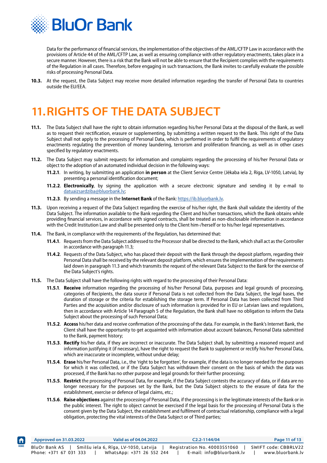<span id="page-11-0"></span>

 $\biguparrow$ 

Data for the performance of financial services, the implementation of the objectives of the AML/CFTP Law in accordance with the provisions of Article 44 of the AML/CFTP Law, as well as ensuring compliance with other regulatory enactments, takes place in a secure manner. However, there is a risk that the Bank will not be able to ensure that the Recipient complies with the requirements of the Regulation in all cases. Therefore, before engaging in such transactions, the Bank invites to carefully evaluate the possible risks of processing Personal Data.

**10.3.** At the request, the Data Subject may receive more detailed information regarding the transfer of Personal Data to countries outside the EU/EEA.

# **11.RIGHTS OF THE DATA SUBJECT**

- **11.1.** The Data Subject shall have the right to obtain information regarding his/her Personal Data at the disposal of the Bank, as well as to request their rectification, erasure or supplementing, by submitting a written request to the Bank. This right of the Data Subject shall not apply to the processing of Personal Data, which is performed in order to fulfil the requirements of regulatory enactments regulating the prevention of money laundering, terrorism and proliferation financing, as well as in other cases specified by regulatory enactments.
- **11.2.** The Data Subject may submit requests for information and complaints regarding the processing of his/her Personal Data or object to the adoption of an automated individual decision in the following ways:
	- **11.2.1**. In writing, by submitting an application **in person** at the Client Service Centre (Jēkaba iela 2, Riga, LV-1050, Latvia), by presenting a personal identification document;
	- **11.2.2**. **Electronically**, by signing the application with a secure electronic signature and sending it by e-mail to [datuaizsardziba@bluorbank.lv](mailto:datuaizsardziba%40bluorbank.lv?subject=);
	- **11.2.3**. By sending a message in the **Internet Bank** of the Bank: [https://ib.bluorbank.lv.](https://ib.bluorbank.lv)
- **11.3.** Upon receiving a request of the Data Subject regarding the exercise of his/her right, the Bank shall validate the identity of the Data Subject. The information available to the Bank regarding the Client and his/her transactions, which the Bank obtains while providing financial services, in accordance with signed contracts, shall be treated as non-disclosable information in accordance with the Credit Institution Law and shall be presented only to the Client him-/herself or to his/her legal representatives.
- **11.4.** The Bank, in compliance with the requirements of the Regulation, has determined that:
	- **11.4.1**. Requests from the Data Subject addressed to the Processor shall be directed to the Bank, which shall act as the Controller in accordance with paragraph 11.3;
	- **11.4.2**. Requests of the Data Subject, who has placed their deposit with the Bank through the deposit platform, regarding their Personal Data shall be received by the relevant deposit platform, which ensures the implementation of the requirements laid down in paragraph 11.3 and which transmits the request of the relevant Data Subject to the Bank for the exercise of the Data Subject's rights.
- **11.5.** The Data Subject shall have the following rights with regard to the processing of their Personal Data:
	- **11.5.1**. **Receive** information regarding the processing of his/her Personal Data, purposes and legal grounds of processing, categories of Recipients, the data source if Personal Data is not collected from the Data Subject, the legal bases, the duration of storage or the criteria for establishing the storage term. If Personal Data has been collected from Third Parties and the acquisition and/or disclosure of such information is provided for in EU or Latvian laws and regulations, then in accordance with Article 14 Paragraph 5 of the Regulation, the Bank shall have no obligation to inform the Data Subject about the processing of such Personal Data;
	- **11.5.2**. **Access** his/her data and receive confirmation of the processing of the data. For example, in the Bank's Internet Bank, the Client shall have the opportunity to get acquainted with information about account balances, Personal Data submitted to the Bank, payment history;
	- **11.5.3**. **Rectify** his/her data, if they are incorrect or inaccurate. The Data Subject shall, by submitting a reasoned request and information justifying it (if necessary), have the right to request the Bank to supplement or rectify his/her Personal Data, which are inaccurate or incomplete, without undue delay;
	- **11.5.4**. **Erase** his/her Personal Data, i.e., the 'right to be forgotten', for example, if the data is no longer needed for the purposes for which it was collected, or if the Data Subject has withdrawn their consent on the basis of which the data was processed, if the Bank has no other purpose and legal grounds for their further processing;
	- **11.5.5**. **Restrict** the processing of Personal Data, for example, if the Data Subject contests the accuracy of data, or if data are no longer necessary for the purposes set by the Bank, but the Data Subject objects to the erasure of data for the establishment, exercise or defence of legal claims, etc.;
	- **11.5.6**. **Raise objections** against the processing of Personal Data, if the processing is in the legitimate interests of the Bank or in the public interest. The right to object cannot be exercised if the legal basis for the processing of Personal Data is the consent given by the Data Subject, the establishment and fulfilment of contractual relationship, compliance with a legal obligation, protecting the vital interests of the Data Subject or of Third parties;

|             | Approved on 31.03.2022                  | Valid as of 04.04.2022                                             |  | $C2.2 - 1144/04$                                          |                                          | Page 11 of 13 |
|-------------|-----------------------------------------|--------------------------------------------------------------------|--|-----------------------------------------------------------|------------------------------------------|---------------|
| <b>HOME</b> | BluOr Bank AS<br>Phone: +371 67 031 333 | Smilšu iela 6, Rīga, LV-1050, Latvija<br>WhatsApp: +371 26 552 244 |  | Registration No. 40003551060<br>E-mail: info@bluorbank.lv | SWIFT code: CBBRLV22<br>www.bluorbank.lv |               |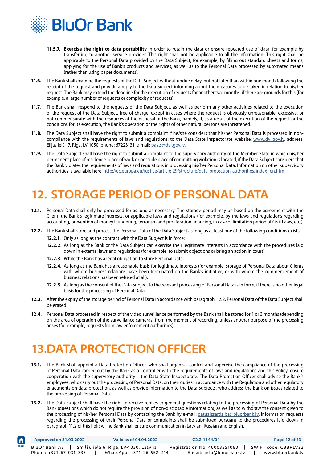<span id="page-12-0"></span>

- **11.5.7**. **Exercise the right to data portability** in order to retain the data or ensure repeated use of data, for example by transferring to another service provider. This right shall not be applicable to all the information. This right shall be applicable to the Personal Data provided by the Data Subject, for example, by filling out standard sheets and forms, applying for the use of Bank's products and services, as well as to the Personal Data processed by automated means (rather than using paper documents).
- **11.6.** The Bank shall examine the requests of the Data Subject without undue delay, but not later than within one month following the receipt of the request and provide a reply to the Data Subject informing about the measures to be taken in relation to his/her request. The Bank may extend the deadline for the execution of requests for another two months, if there are grounds for this (for example, a large number of requests or complexity of requests).
- **11.7.** The Bank shall respond to the requests of the Data Subject, as well as perform any other activities related to the execution of the request of the Data Subject, free of charge, except in cases where the request is obviously unreasonable, excessive, or not commensurate with the resources at the disposal of the Bank, namely, if, as a result of the execution of the request or the conditions for its execution, the Bank's operation or the rights of other natural persons are threatened.
- **11.8.** The Data Subject shall have the right to submit a complaint if he/she considers that his/her Personal Data is processed in noncompliance with the requirements of laws and regulations: to the Data State Inspectorate, website: [www.dvi.gov.lv,](www.dvi.gov.lv) address: Elijas ielā 17, Riga, LV-1050, phone: 67223131, e-mail: [pasts@dvi.gov.lv](mailto:pasts%40dvi.gov.lv?subject=).
- **11.9.** The Data Subject shall have the right to submit a complaint to the supervisory authority of the Member State in which his/her permanent place of residence, place of work or possible place of committing violation is located, if the Data Subject considers that the Bank violates the requirements of laws and regulations in processing his/her Personal Data. Information on other supervisory authorities is available here: [http://ec.europa.eu/justice/article-29/structure/data-protection-authorities/index\\_en.htm](http://ec.europa.eu/justice/article-29/structure/data-protection-authorities/index_en.htm )

# **12. STORAGE PERIOD OF PERSONAL DATA**

- **12.1.** Personal Data shall only be processed for as long as necessary. The storage period may be based on the agreement with the Client, the Bank's legitimate interests, or applicable laws and regulations (for example, by the laws and regulations regarding accounting, prevention of money laundering, terrorism and proliferation financing, in case of limitation period of Civil Laws, etc.).
- **12.2.** The Bank shall store and process the Personal Data of the Data Subject as long as at least one of the following conditions exists: **12.2.1**. Only as long as the contract with the Data Subject is in force;
	- **12.2.2**. As long as the Bank or the Data Subject can exercise their legitimate interests in accordance with the procedures laid down in external laws and regulations (for example, to submit objections or bring an action in court);
	- **12.2.3**. While the Bank has a legal obligation to store Personal Data;
	- **12.2.4**. As long as the Bank has a reasonable basis for legitimate interests (for example, storage of Personal Data about Clients with whom business relations have been terminated on the Bank's initiative, or with whom the commencement of business relations has been refused at all);
	- **12.2.5**. As long as the consent of the Data Subject to the relevant processing of Personal Data is in force, if there is no other legal basis for the processing of Personal Data.
- **12.3.** After the expiry of the storage period of Personal Data in accordance with paragraph 12.2, Personal Data of the Data Subject shall be erased.
- **12.4.** Personal Data processed in respect of the video surveillance performed by the Bank shall be stored for 1 or 3 months (depending on the area of operation of the surveillance cameras) from the moment of recording, unless another purpose of the processing arises (for example, requests from law enforcement authorities).

# **13.DATA PROTECTION OFFICER**

 $\bigwedge$ 

- **13.1.** The Bank shall appoint a Data Protection Officer, who shall organise, control and supervise the compliance of the processing of Personal Data carried out by the Bank as a Controller with the requirements of laws and regulations and this Policy, ensure cooperation with the supervisory authority – the Data State Inspectorate. The Data Protection Officer shall advise the Bank's employees, who carry out the processing of Personal Data, on their duties in accordance with the Regulation and other regulatory enactments on data protection, as well as provide information to the Data Subjects, who address the Bank on issues related to the processing of Personal Data.
- **13.2.** The Data Subject shall have the right to receive replies to general questions relating to the processing of Personal Data by the Bank (questions which do not require the provision of non-disclosable information), as well as to withdraw the consent given to the processing of his/her Personal Data by contacting the Bank by e-mail: datuaizsardziba@bluorbank.ly. Information requests regarding the processing of their Personal Data or complaints shall be submitted pursuant to the procedures laid down in paragraph 11.2 of this Policy. The Bank shall ensure communication in Latvian, Russian and English.

|      | Approved on 31.03.2022 | Valid as of 04.04.2022                | $C2.2 - 1144/04$             | Page 12 of 13        |
|------|------------------------|---------------------------------------|------------------------------|----------------------|
| HOME | BluOr Bank AS          | Smilšu iela 6, Rīga, LV-1050, Latvija | Registration No. 40003551060 | SWIFT code: CBBRLV22 |
|      | Phone: +371 67 031 333 | WhatsApp: +371 26 552 244             | E-mail: info@bluorbank.lv    | www.bluorbank.lv     |